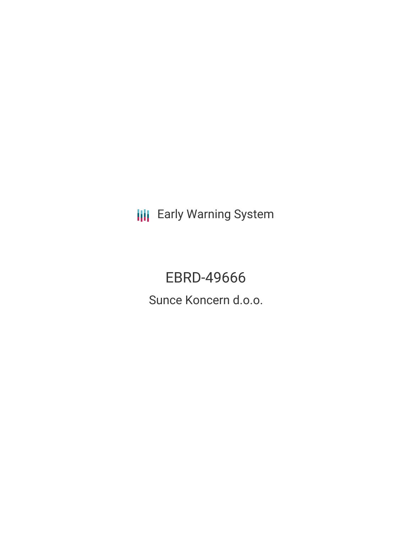**III** Early Warning System

EBRD-49666 Sunce Koncern d.o.o.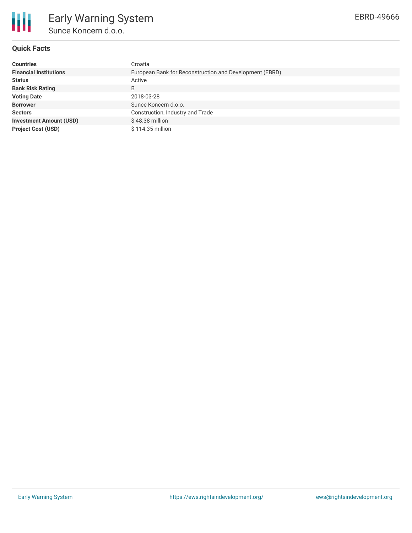

## **Quick Facts**

| <b>Countries</b>               | Croatia                                                 |  |  |  |  |
|--------------------------------|---------------------------------------------------------|--|--|--|--|
| <b>Financial Institutions</b>  | European Bank for Reconstruction and Development (EBRD) |  |  |  |  |
| <b>Status</b>                  | Active                                                  |  |  |  |  |
| <b>Bank Risk Rating</b>        | B                                                       |  |  |  |  |
| <b>Voting Date</b>             | 2018-03-28                                              |  |  |  |  |
| <b>Borrower</b>                | Sunce Koncern d.o.o.                                    |  |  |  |  |
| <b>Sectors</b>                 | Construction, Industry and Trade                        |  |  |  |  |
| <b>Investment Amount (USD)</b> | $$48.38$ million                                        |  |  |  |  |
| <b>Project Cost (USD)</b>      | \$114.35 million                                        |  |  |  |  |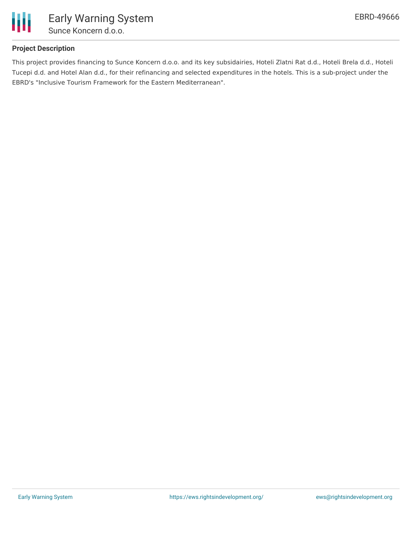

## **Project Description**

This project provides financing to Sunce Koncern d.o.o. and its key subsidairies, Hoteli Zlatni Rat d.d., Hoteli Brela d.d., Hoteli Tucepi d.d. and Hotel Alan d.d., for their refinancing and selected expenditures in the hotels. This is a sub-project under the EBRD's "Inclusive Tourism Framework for the Eastern Mediterranean".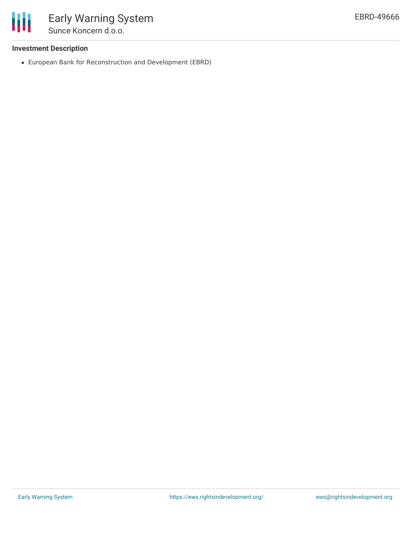

## **Investment Description**

European Bank for Reconstruction and Development (EBRD)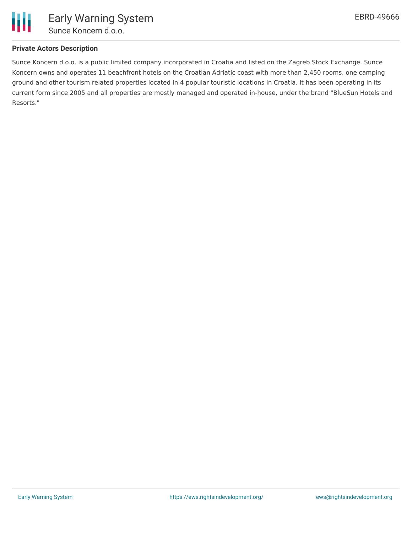

## **Private Actors Description**

Sunce Koncern d.o.o. is a public limited company incorporated in Croatia and listed on the Zagreb Stock Exchange. Sunce Koncern owns and operates 11 beachfront hotels on the Croatian Adriatic coast with more than 2,450 rooms, one camping ground and other tourism related properties located in 4 popular touristic locations in Croatia. It has been operating in its current form since 2005 and all properties are mostly managed and operated in-house, under the brand "BlueSun Hotels and Resorts."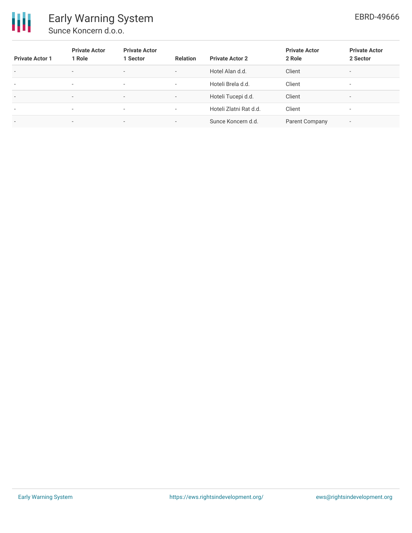

# Early Warning System Sunce Koncern d.o.o.

| <b>Private Actor 1</b>   | <b>Private Actor</b><br>1 Role | <b>Private Actor</b><br>1 Sector | <b>Relation</b>          | <b>Private Actor 2</b> | <b>Private Actor</b><br>2 Role | <b>Private Actor</b><br>2 Sector |
|--------------------------|--------------------------------|----------------------------------|--------------------------|------------------------|--------------------------------|----------------------------------|
| $\overline{\phantom{a}}$ | $\overline{\phantom{0}}$       | $\overline{\phantom{0}}$         | $\overline{\phantom{a}}$ | Hotel Alan d.d.        | Client                         | $\overline{\phantom{a}}$         |
| ٠                        | $\overline{\phantom{a}}$       | $\overline{\phantom{a}}$         | $\overline{\phantom{a}}$ | Hoteli Brela d.d.      | Client                         | $\overline{\phantom{a}}$         |
| $\overline{\phantom{a}}$ | $\overline{\phantom{0}}$       | $\overline{\phantom{0}}$         | $\overline{\phantom{a}}$ | Hoteli Tucepi d.d.     | Client                         | $\overline{\phantom{a}}$         |
| $\overline{\phantom{a}}$ | $\overline{\phantom{0}}$       | $\overline{\phantom{a}}$         | $\overline{\phantom{a}}$ | Hoteli Zlatni Rat d.d. | Client                         | $\overline{\phantom{a}}$         |
| $\overline{\phantom{a}}$ | $\overline{\phantom{0}}$       | $\overline{\phantom{a}}$         | $\overline{\phantom{a}}$ | Sunce Koncern d.d.     | Parent Company                 | $\overline{\phantom{a}}$         |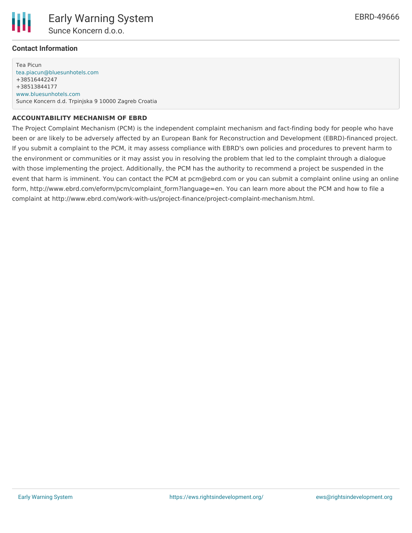

### **Contact Information**

Tea Picun [tea.piacun@bluesunhotels.com](mailto:tea.piacun@bluesunhotels.com) +38516442247 +38513844177 [www.bluesunhotels.com](http://www.bluesunhotels.com) Sunce Koncern d.d. Trpinjska 9 10000 Zagreb Croatia

#### **ACCOUNTABILITY MECHANISM OF EBRD**

The Project Complaint Mechanism (PCM) is the independent complaint mechanism and fact-finding body for people who have been or are likely to be adversely affected by an European Bank for Reconstruction and Development (EBRD)-financed project. If you submit a complaint to the PCM, it may assess compliance with EBRD's own policies and procedures to prevent harm to the environment or communities or it may assist you in resolving the problem that led to the complaint through a dialogue with those implementing the project. Additionally, the PCM has the authority to recommend a project be suspended in the event that harm is imminent. You can contact the PCM at pcm@ebrd.com or you can submit a complaint online using an online form, http://www.ebrd.com/eform/pcm/complaint form?language=en. You can learn more about the PCM and how to file a complaint at http://www.ebrd.com/work-with-us/project-finance/project-complaint-mechanism.html.